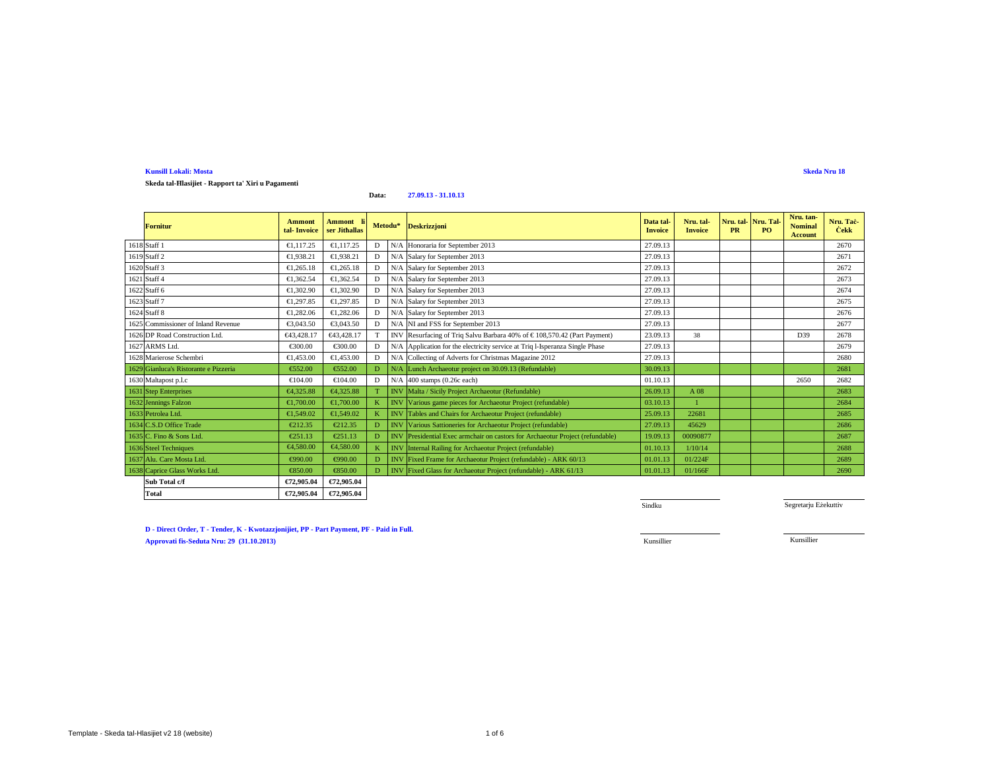**Skeda tal-Ħlasijiet - Rapport ta' Xiri u Pagamenti**

#### **Data:27.09.13 - 31.10.13**

| <b>Fornitur</b>                       | <b>Ammont</b><br>tal-Invoice | Ammont li<br>ser Jithallas |   |            | Metodu* Deskrizzjoni                                                                    | Data tal-<br><b>Invoice</b> | Nru. tal-<br><b>Invoice</b> | Nru. tal-Nru. Tal<br><b>PR</b> | P <sub>O</sub> | Nru. tan-<br><b>Nominal</b><br><b>Account</b> | Nru. Tač-<br><b>Čekk</b> |
|---------------------------------------|------------------------------|----------------------------|---|------------|-----------------------------------------------------------------------------------------|-----------------------------|-----------------------------|--------------------------------|----------------|-----------------------------------------------|--------------------------|
| 1618 Staff 1                          | €1.117.25                    | €1,117.25                  | D | N/A        | Honoraria for September 2013                                                            | 27.09.13                    |                             |                                |                |                                               | 2670                     |
| 1619 Staff 2                          | €1,938.21                    | €1,938.21                  | D | N/A        | Salary for September 2013                                                               | 27.09.13                    |                             |                                |                |                                               | 2671                     |
| 1620 Staff 3                          | €1.265.18                    | €1.265.18                  | D | N/A        | Salary for September 2013                                                               | 27.09.13                    |                             |                                |                |                                               | 2672                     |
| 1621 Staff 4                          | €1.362.54                    | €1.362.54                  | D | N/A        | Salary for September 2013                                                               | 27.09.13                    |                             |                                |                |                                               | 2673                     |
| 1622 Staff 6                          | €1,302.90                    | €1,302.90                  | D | N/A        | Salary for September 2013                                                               | 27.09.13                    |                             |                                |                |                                               | 2674                     |
| 1623 Staff 7                          | €1.297.85                    | €1,297.85                  | D |            | N/A Salary for September 2013                                                           | 27.09.13                    |                             |                                |                |                                               | 2675                     |
| 1624 Staff 8                          | €1,282.06                    | €1,282.06                  | D | N/A        | Salary for September 2013                                                               | 27.09.13                    |                             |                                |                |                                               | 2676                     |
| 1625 Commissioner of Inland Revenue   | €3,043.50                    | €3.043. $\theta$           | D |            | N/A NI and FSS for September 2013                                                       | 27.09.13                    |                             |                                |                |                                               | 2677                     |
| 1626 DP Road Construction Ltd.        | €43.428.17                   | €43,428.17                 | T |            | $\mathbb{N}$ V Resurfacing of Triq Salvu Barbara 40% of $\in$ 108,570.42 (Part Payment) | 23.09.13                    | 38                          |                                |                | D39                                           | 2678                     |
| 1627 ARMS Ltd.                        | €300.00                      | €300.00                    | D | N/A        | Application for the lectricity service at Triq l-Isperanza Single Phase                 | 27.09.13                    |                             |                                |                |                                               | 2679                     |
| 1628 Marierose Schembri               | €1.453.00                    | €1,453.00                  | D |            | N/A Colleging of Adverts for Christmas Magazine 2012                                    | 27.09.13                    |                             |                                |                |                                               | 2680                     |
| 1629 Gianluca's Ristorante e Pizzeria | €552.00                      | €552.00                    | D | N/A        | Lunch Archaeotur project on 30.09.13 (Refundable)                                       | 30.09.13                    |                             |                                |                |                                               | 2681                     |
| 1630 Maltapost p.l.c                  | €104.00                      | €104.00                    | D | N/A        | 400 stamps (Q6c each)                                                                   | 01.10.13                    |                             |                                |                | 2650                                          | 2682                     |
| 1631 Step Enterprises                 | €4.325.88                    | €4,325.88                  |   |            | INV Malta Sicily Project Archaeotur (Refundable)                                        | 26.09.13                    | A 08                        |                                |                |                                               | 2683                     |
| 1632 Jennings Falzon                  | €1,700.00                    | €1,700.00                  | K | IN         | Various gme pieces for Archaeotur Project (refundable)                                  | 03.10.13                    |                             |                                |                |                                               | 2684                     |
| 1633 Petrolea Ltd.                    | €1.549.02                    | €1,549.02                  |   | IN         | Tables and Chairs for Archaeotur Project (refundable)                                   | 25.09.13                    | 22681                       |                                |                |                                               | 2685                     |
| 1634 C.S.D Office Trade               | €212.35                      | €212.35                    | n | <b>INV</b> | Various Sationeries for Archaeotur Project (refundable)                                 | 27.09.13                    | 45629                       |                                |                |                                               | 2686                     |
| 1635 C. Fino & Sons Ltd.              | €251.13                      | €251.13                    | D |            | INV Presidentil Exec armchair on castors for Archaeotur Project (refundable)            | 19.09.13                    | 00090877                    |                                |                |                                               | 2687                     |
| 1636 Steel Techniques                 | €4.580.00                    | €4,580.00                  | K | <b>INV</b> | Internal Railing for Archaeotur Project (refundable)                                    | 01.10.13                    | 1/10/14                     |                                |                |                                               | 2688                     |
| 1637 Alu. Care Mosta Ltd.             | €990.00                      | €990.00                    | Đ |            | INV Fixed Frme for Archaeotur Project (refundable) - ARK 60/13                          | 01.01.13                    | 01/224F                     |                                |                |                                               | 2689                     |
| 1638 Caprice Glass Works Ltd.         | €850.00                      | €850.00                    | D |            | INV FixedGlass for Archaeotur Project (refundable) - ARK 61/13                          | 01.01.13                    | 01/166F                     |                                |                |                                               | 2690                     |
| Sub Total c/f                         | €72,905.04                   | €72,905.04                 |   |            |                                                                                         |                             |                             |                                |                |                                               |                          |
| <b>Total</b>                          | €72.905.04                   | €72,905.04                 |   |            |                                                                                         |                             |                             |                                |                |                                               |                          |

Sindku

Segretarju Eżekuttiv

**Skeda Nru 18**

**D - Direct Order, T - Tender, K - Kwotazzjonijiet, PP - Part Payment, PF - Paid in Full. Approvati fis-Seduta Nru: 29 (31.10.2013)**Kunsillier Kunsillier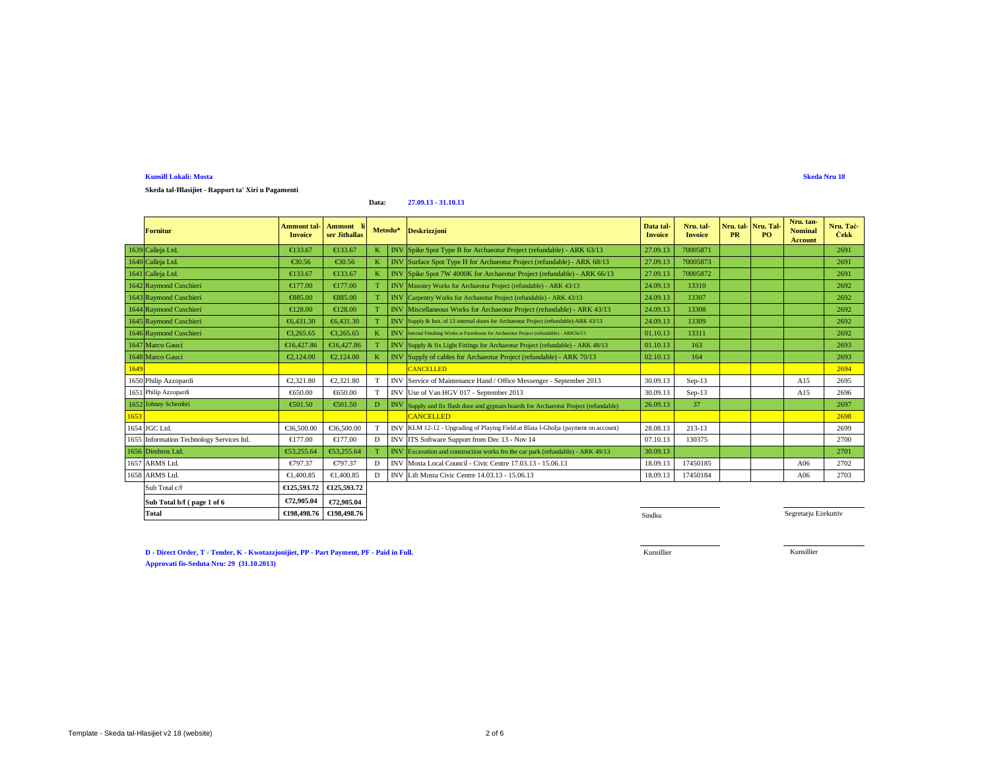# **Skeda tal-Ħlasijiet - Rapport ta' Xiri u Pagamenti**

#### **Data:27.09.13 - 31.10.13**

|      | <b>Fornitur</b>                           | Ammont tal-<br><b>Invoice</b> | Ammont<br>ser Jithallas |   |            | Metodu* Deskrizzjoni                                                                            | Data tal-<br><b>Invoice</b> | Nru. tal-<br><b>Invoice</b> | Nru. tal-Nru. Tal<br><b>PR</b> | PO. | Nru. tan-<br><b>Nominal</b><br><b>Account</b> | Nru. Tac-<br><b>Čekk</b> |
|------|-------------------------------------------|-------------------------------|-------------------------|---|------------|-------------------------------------------------------------------------------------------------|-----------------------------|-----------------------------|--------------------------------|-----|-----------------------------------------------|--------------------------|
|      | 1639 Calleja Ltd.                         | €133.67                       | €133.67                 |   |            | INV Spike Spot Type Bfor Archaeotur Project (refundable) - ARK 63/13                            | 27.09.13                    | 70005871                    |                                |     |                                               | 2691                     |
|      | 1640 Calleja Ltd.                         | €30.56                        | €30.56                  |   |            | INV Surface Spot Type Hor Archaeotur Project (refundable) - ARK 68/13                           | 27.09.13                    | 70005873                    |                                |     |                                               | 2691                     |
|      | 1641 Calleja Ltd.                         | €133.67                       | €133.67                 |   |            | INV Spike Spot 7W 400K for Archaeotur Project (refundable) - ARK 66/13                          | 27.09.13                    | 70005872                    |                                |     |                                               | 2691                     |
|      | 1642 Raymond Cuschieri                    | €177.00                       | €177.00                 |   |            | INV Masonry Works for Archaeotur Project (refundable) - ARK 43/13                               | 24.09.13                    | 13310                       |                                |     |                                               | 2692                     |
|      | 1643 Raymond Cuschieri                    | €885.00                       | €885.00                 |   |            | INVCarpentry Works for Archaeotur Project (refundable) - ARK 43/13                              | 24.09.13                    | 13307                       |                                |     |                                               | 2692                     |
|      | 1644 Raymond Cuschieri                    | €128.00                       | €128.00                 |   |            | INV Miscellaneou Works for Archaeotur Project (refundable) - ARK 43/13                          | 24.09.13                    | 13308                       |                                |     |                                               | 2692                     |
|      | 1645 Raymond Cuschieri                    | €6.431.30                     | €6.431.30               |   |            | INV Supply & Inst. of 13 internal doors for Archaeotur Project (refundable)-ARK 43/13           | 24.09.13                    | 13309                       |                                |     |                                               | 2692                     |
|      | 1646 Raymond Cuschieri                    | €3.265.65                     | €3.265.65               |   |            | <b>INV</b> Internal Finsihing Works at Farmhouse for Archaeotur Project (refundable) - ARK56/13 | 01.10.13                    | 13311                       |                                |     |                                               | 2692                     |
|      | 1647 Marco Gauci                          | €16,427.86                    | €16,427.86              |   |            | INV Supply & fix Light Fittings for Archaeotur Project (refundable) - ARK 48/13                 | 01.10.13                    | 163                         |                                |     |                                               | 2693                     |
|      | 1648 Marco Gauci                          | €2,124.00                     | €2,124.00               |   |            | INV Supply of cabls for Archaeotur Project (refundable) - ARK 70/13                             | 02.10.13                    | 164                         |                                |     |                                               | 2693                     |
| 1649 |                                           |                               |                         |   |            | <b>CANCELLED</b>                                                                                |                             |                             |                                |     |                                               | 2694                     |
|      | 1650 Philip Azzopardi                     | €2,321.80                     | €2,321.80               | T | <b>INV</b> | Service 6 Maintenance Hand / Office Messenger - September 2013                                  | 30.09.13                    | $Sep-13$                    |                                |     | A15                                           | 2695                     |
|      | 1651 Philip Azzopardi                     | €650.00                       | €650.00                 | T | <b>INV</b> | Use of Van HGV 017 - September 203                                                              | 30.09.13                    | $Sep-13$                    |                                |     | A15                                           | 2696                     |
|      | 1652 Johnny Schembri                      | €501.50                       | €501.50                 | D |            | INV Supply and fix flush door and gypsum boards for Archaeotur Project (refundable)             | 26.09.13                    | 37                          |                                |     |                                               | 2697                     |
| 1653 |                                           |                               |                         |   |            | <b>CANCELLED</b>                                                                                |                             |                             |                                |     |                                               | 2698                     |
|      | 1654 JGC Ltd.                             | €36,500.00                    | €36,500.00              |   |            | INV KLM 12-12 - Upgrading of Playing Field at Blata l-Gholja (payment on account)               | 28.08.13                    | 213-13                      |                                |     |                                               | 2699                     |
|      | 1655 Information Technology Services ltd. | €177.00                       | €17700                  | D |            | INV ITS Software Support from Dec 13 - Nov 14                                                   | 07.10.13                    | 130375                      |                                |     |                                               | 2700                     |
|      | 1656 Dimbros Ltd.                         | €53,255.64                    | €53,255.64              |   |            | INVExcavation and construction works fro the car park (refundable) - ARK 49/13                  | 30.09.13                    |                             |                                |     |                                               | 2701                     |
|      | 1657 ARMS Ltd.                            | €797.37                       | €797.37                 | D |            | INV Mosta Local Council Civic Centre 17.03.13 - 15.06.13                                        | 18.09.13                    | 17450185                    |                                |     | A06                                           | 2702                     |
|      | 1658 ARMS Ltd.                            | €1,400.85                     | €1,400.85               | D |            | INV Lift Mosta CivicCentre 14.03.13 - 15.06.13                                                  | 18.09.13                    | 17450184                    |                                |     | A06                                           | 2703                     |
|      | Sub Total c/f                             | €125.593.72                   | €125,593.72             |   |            |                                                                                                 |                             |                             |                                |     |                                               |                          |
|      | Sub Total b/f (page 1 of 6                | €72,905.04                    | €72,905.04              |   |            |                                                                                                 |                             |                             |                                |     |                                               |                          |
|      | <b>Total</b>                              | €198,498.76                   | €198,498.76             |   |            |                                                                                                 | Sindku                      |                             |                                |     | Segretarju Eżekuttiv                          |                          |

**D - Direct Order, T - Tender, K - Kwotazzjonijiet, PP - Part Payment, PF - Paid in Full. Approvati fis-Seduta Nru: 24 (29.08.20 Approvati fis-Seduta Nru: 29 (31.10.2013) 13)**

Kunsillier

Kunsillier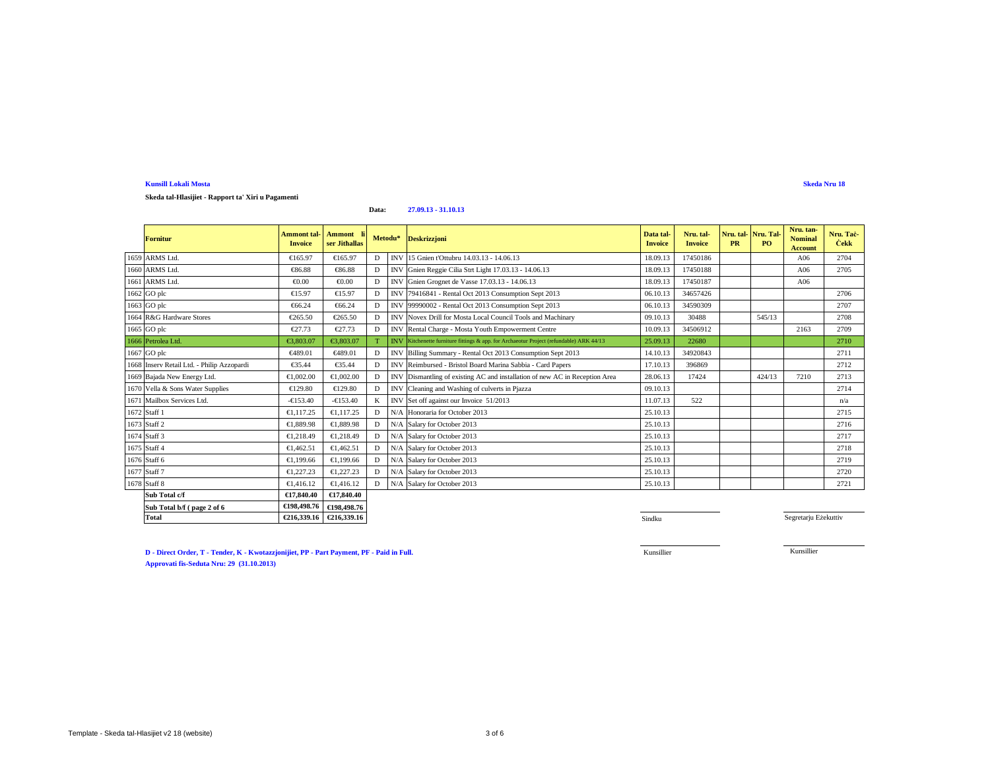**Skeda tal-Hlasijiet - Rapport ta' Xiri u Pagamenti**

#### **Data:27.09.13 - 31.10.13**

| <b>Fornitur</b>                            | <b>Ammont</b> tal-<br><b>Invoice</b> | Ammont li<br>ser Jithallas           |   | Metodu*    | Deskrizzjoni                                                                            | Data tal-<br><b>Invoice</b> | Nru. tal-<br><b>Invoice</b> | <b>PR</b> | Nru. tal-Nru. Tal-<br>PO <sub>1</sub> | Nru. tan-<br><b>Nominal</b><br><b>Account</b> | Nru. Tac-<br><b>Čekk</b> |
|--------------------------------------------|--------------------------------------|--------------------------------------|---|------------|-----------------------------------------------------------------------------------------|-----------------------------|-----------------------------|-----------|---------------------------------------|-----------------------------------------------|--------------------------|
| 1659 ARMS Ltd.                             | €165.97                              | €165.97                              | D | <b>INV</b> | 15 Gnien t'Ottubru 4.03.13 - 14.06.13                                                   | 18.09.13                    | 17450186                    |           |                                       | A06                                           | 2704                     |
| 1660 ARMS Ltd.                             | €86.88                               | €86.88                               | D | <b>INV</b> | Gnien Reggie Cilia Str Light 17.03.13 - 14.06.13                                        | 18.09.13                    | 17450188                    |           |                                       | A06                                           | 2705                     |
| 1661 ARMS Ltd.                             | €0.00                                | $\epsilon 0.00$                      | D | <b>INV</b> | Gnien Grognet de Vasse T.03.13 - 14.06.13                                               | 18.09.13                    | 17450187                    |           |                                       | A06                                           |                          |
| 1662 GO plc                                | €15.97                               | €15.97                               | D | <b>INV</b> | 79416841 - Rental Oct 2013 Consumpion Sept 2013                                         | 06.10.13                    | 34657426                    |           |                                       |                                               | 2706                     |
| 1663 GO plc                                | €66.24                               | €66.24                               | D | <b>INV</b> | 99990002 - Rental Oct 2013 Consumpton Sept 2013                                         | 06.10.13                    | 34590309                    |           |                                       |                                               | 2707                     |
| 1664 R&G Hardware Stores                   | €265.50                              | €265.50                              | D | <b>INV</b> | Novex Drilfor Mosta Local Council Tools and Machinary                                   | 09.10.13                    | 30488                       |           | 545/13                                |                                               | 2708                     |
| 1665 GO plc                                | €27.73                               | €27.73                               | D | <b>INV</b> | Rental Charge - Mosta Youth Empowerment Centre                                          | 10.09.13                    | 34506912                    |           |                                       | 2163                                          | 2709                     |
| 1666 Petrolea Ltd.                         | €3,803.07                            | €3,803,07                            |   |            | INV Kitchenette furniture fittings & app. for Archaeotur Project (refundable) ARK 44/13 | 25.09.13                    | 22680                       |           |                                       |                                               | 2710                     |
| 1667 GO plc                                | €489.01                              | €489.01                              | D | <b>INV</b> | Billing Summary - Rental Oct 2013Consumption Sept 2013                                  | 14.10.13                    | 34920843                    |           |                                       |                                               | 2711                     |
| 1668 Inserv Retail Ltd. - Philip Azzopardi | €35.44                               | €3544                                | D | <b>INV</b> | Reimbursed - Bristol Board Marina Sabbia - Card Papers                                  | 17.10.13                    | 396869                      |           |                                       |                                               | 2712                     |
| 1669 Bajada New Energy Ltd.                | €1,002.00                            | €1,002.00                            | D | <b>INV</b> | Dimantling of existing AC and installation of new AC in Reception Area                  | 28.06.13                    | 17424                       |           | 424/13                                | 7210                                          | 2713                     |
| 1670 Vella & Sons Water Supplies           | €129.80                              | €129.80                              | D | <b>INV</b> | Glaning and Washing of culverts in Pjazza                                               | 09.10.13                    |                             |           |                                       |                                               | 2714                     |
| 1671 Mailbox Services Ltd.                 | $-6153.40$                           | $-6153.40$                           |   | <b>INV</b> | Set of against our Invoice 51/2013                                                      | 11.07.13                    | 522                         |           |                                       |                                               | n/a                      |
| 1672 Staff 1                               | €1,117.25                            | €1,117.25                            | D | N/A        | Honoraria for October 2013                                                              | 25.10.13                    |                             |           |                                       |                                               | 2715                     |
| 1673 Staff 2                               | €1,889.98                            | €1,889.98                            | D | N/A        | Salary for October 2013                                                                 | 25.10.13                    |                             |           |                                       |                                               | 2716                     |
| 1674 Staff 3                               | €1.218.49                            | €1.218.49                            | D | N/A        | Salary for October 2013                                                                 | 25.10.13                    |                             |           |                                       |                                               | 2717                     |
| 1675 Staff 4                               | €1.462.51                            | €1.462.51                            | D | N/A        | Salary for October 2013                                                                 | 25.10.13                    |                             |           |                                       |                                               | 2718                     |
| 1676 Staff 6                               | €1,199.66                            | €1.199.66                            | D | N/A        | Salary for October 2013                                                                 | 25.10.13                    |                             |           |                                       |                                               | 2719                     |
| 1677 Staff 7                               | €1.227.23                            | €1,227.23                            | D | N/A        | Salary for October 2013                                                                 | 25.10.13                    |                             |           |                                       |                                               | 2720                     |
| 1678 Staff 8                               | €1,416.12                            | €1.416.12                            | D |            | N/A Salary for October 2013                                                             | 25.10.13                    |                             |           |                                       |                                               | 2721                     |
| Sub Total c/f                              | €17,840.40                           | €17,840.40                           |   |            |                                                                                         |                             |                             |           |                                       |                                               |                          |
| Sub Total b/f (page 2 of 6)                |                                      | $\overline{€198,498.76}$ €198,498.76 |   |            |                                                                                         |                             |                             |           |                                       |                                               |                          |

**Sindku** Sindku Sindku Sindku Sindku Sindku Sindku Sindku Sindku Sindku Sindku Sindku Sindku Sindku Sindku Sindku

Segretarju Eżekuttiv

**Skeda Nru 18**

**D - Direct Order, T - Tender, K - Kwotazzjonijiet, PP - Part Payment, PF - Paid in Full.Approvati fis-Seduta Nru: 29 (31.10.2013)**

**€216,339.16 €216,339.16**

Kunsillier

Kunsillier

**Total**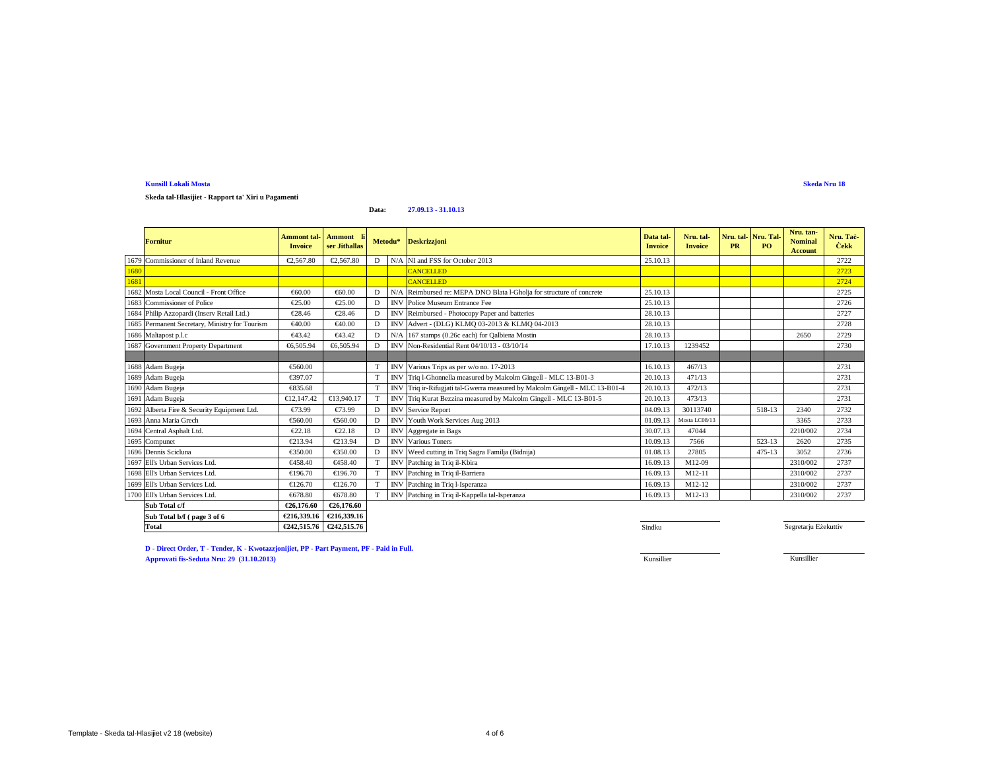**Skeda tal-Hlasijiet - Rapport ta' Xiri u Pagamenti**

#### **Data:27.09.13 - 31.10.13**

|      | <b>Fornitur</b>                                | <b>Ammont</b> tal-<br><b>Invoice</b> | Ammont li<br>ser Jithallas |              | Metodu*    | <b>Deskrizzjoni</b>                                                    | Data tal-<br><b>Invoice</b> | Nru. tal-<br><b>Invoice</b> | Nru. tal-Nru. Tal<br><b>PR</b> | PO.        | Nru. tan-<br><b>Nominal</b><br>Account | Nru. Tac-<br><b>Čekk</b> |
|------|------------------------------------------------|--------------------------------------|----------------------------|--------------|------------|------------------------------------------------------------------------|-----------------------------|-----------------------------|--------------------------------|------------|----------------------------------------|--------------------------|
| 1679 | Commissioner of Inland Revenue                 | €2.567.80                            | €2.567.8                   | D            |            | N/A NI and FSS for October 2013                                        | 25.10.13                    |                             |                                |            |                                        | 2722                     |
| 1680 |                                                |                                      |                            |              |            | CANCELLED                                                              |                             |                             |                                |            |                                        | 2723                     |
| 1681 |                                                |                                      |                            |              |            | <b>CANCELLED</b>                                                       |                             |                             |                                |            |                                        | 2724                     |
| 1682 | Mosta Local Council - Front Office             | €60.00                               | €60.00                     | $\mathbf{D}$ | N/A        | Reimbursed re: MEPA DNO Blata l-Gholja for structure of concrete       | 25.10.13                    |                             |                                |            |                                        | 2725                     |
| 1683 | Commissioner of Police                         | €25.00                               | €25.00                     | D            | <b>INV</b> | Police Mueum Entrance Fee                                              | 25.10.13                    |                             |                                |            |                                        | 2726                     |
|      | 1684 Philip Azzopardi (Inserv Retail Ltd.)     | €28.46                               | €2846                      | D            | <b>INV</b> | Reimbursed - Photocopy Paper and batteries                             | 28.10.13                    |                             |                                |            |                                        | 2727                     |
|      | 1685 Permanent Secretary, Ministry for Tourism | €40.00                               | €40.00                     | D            | <b>INV</b> | Advert - (DLG) KLMQ 03-2013 & KLMQ 04-2013                             | 28.10.13                    |                             |                                |            |                                        | 2728                     |
|      | 1686 Maltapost p.l.c                           | €43.42                               | €43.42                     | D            | N/A        | 167 stamps (0.26 each) for Qalbiena Mostin                             | 28.10.13                    |                             |                                |            | 2650                                   | 2729                     |
|      | 1687 Government Property Department            | €6,505.94                            | €6,50594                   | D            | <b>INV</b> | Non-Residential Rent 04/10/13 - 03/10/14                               | 17.10.13                    | 1239452                     |                                |            |                                        | 2730                     |
|      |                                                |                                      |                            |              |            |                                                                        |                             |                             |                                |            |                                        |                          |
|      | 1688 Adam Bugeja                               | €560.00                              |                            | T            |            | INV Various Trips as per w/ono. 17-2013                                | 16.10.13                    | 467/13                      |                                |            |                                        | 2731                     |
|      | 1689 Adam Bugeja                               | €397.07                              |                            | T            |            | INV Triq 1-Ghonnella measuredby Malcolm Gingell - MLC 13-B01-3         | 20.10.13                    | 471/13                      |                                |            |                                        | 2731                     |
|      | 1690 Adam Bugeja                               | €835.68                              |                            | T            | <b>INV</b> | Triq ir-Rifugiati tal-Gwera measured by Malcolm Gingell - MLC 13-B01-4 | 20.10.13                    | 472/13                      |                                |            |                                        | 2731                     |
| 1691 | Adam Bugeja                                    | €12.147.42                           | €13,940.17                 |              | <b>INV</b> | Triq Kurat Bzzina measured by Malcolm Gingell - MLC 13-B01-5           | 20.10.13                    | 473/13                      |                                |            |                                        | 2731                     |
|      | 1692 Alberta Fire & Security Equipment Ltd.    | €73.99                               | €7399                      | D            | <b>INV</b> | Service Report                                                         | 04.09.13                    | 30113740                    |                                | 518-13     | 2340                                   | 2732                     |
|      | 1693 Anna Maria Grech                          | €560.00                              | €560.00                    | D            | <b>INV</b> | Youth Work Sevices Aug 2013                                            | 01.09.13                    | Mosta LC08/13               |                                |            | 3365                                   | 2733                     |
|      | 1694 Central Asphalt Ltd.                      | €22.18                               | €22.18                     | D            | <b>INV</b> | Aggregaten Bags                                                        | 30.07.13                    | 47044                       |                                |            | 2210/002                               | 2734                     |
| 1695 | Compunet                                       | €213.94                              | €213.94                    | D            | <b>INV</b> | Various Toners                                                         | 10.09.13                    | 7566                        |                                | 523-13     | 2620                                   | 2735                     |
|      | 1696 Dennis Scicluna                           | €350.00                              | €350.00                    | D            | IN         | Weed cutting i Triq Sagra Familja (Bidnija)                            | 01.08.13                    | 27805                       |                                | $475 - 13$ | 3052                                   | 2736                     |
|      | 1697 Ell's Urban Services Ltd.                 | €458.40                              | €458.40                    |              | <b>INV</b> | Pathing in Triq il-Kbira                                               | 16.09.13                    | M12-09                      |                                |            | 2310/002                               | 2737                     |
|      | 1698 Ell's Urban Services Ltd.                 | €196.70                              | €196.70                    |              | IN         | Pathing in Triq il-Barriera                                            | 16.09.13                    | M12-11                      |                                |            | 2310/002                               | 2737                     |
|      | 1699 Ell's Urban Services Ltd.                 | €126.70                              | €126.70                    |              | <b>INV</b> | Pathing in Triq l-Isperanza                                            | 16.09.13                    | M12-12                      |                                |            | 2310/002                               | 2737                     |
|      | 1700 Ell's Urban Services Ltd.                 | €678.80                              | €678.80                    | T            | <b>INV</b> | Pathing in Triq il-Kappella tal-Isperanza                              | 16.09.13                    | M12-13                      |                                |            | 2310/002                               | 2737                     |
|      | Sub Total c/f                                  | €26,176.60                           | €26,176.60                 |              |            |                                                                        |                             |                             |                                |            |                                        |                          |
|      | Sub Total b/f (page 3 of 6                     | €216.339.16                          | €216,339.16                |              |            |                                                                        |                             |                             |                                |            |                                        |                          |
|      | <b>Total</b>                                   | €242.515.76                          | €242,515.76                |              |            |                                                                        | Sindku                      |                             |                                |            | Segretarju Eżekuttiv                   |                          |

**D - Direct Order, T - Tender, K - Kwotazzjonijiet, PP - Part Payment, PF - Paid in Full. Approvati fis-Seduta Nru: 29 (31.10.2013)**Kunsillier Kunsillier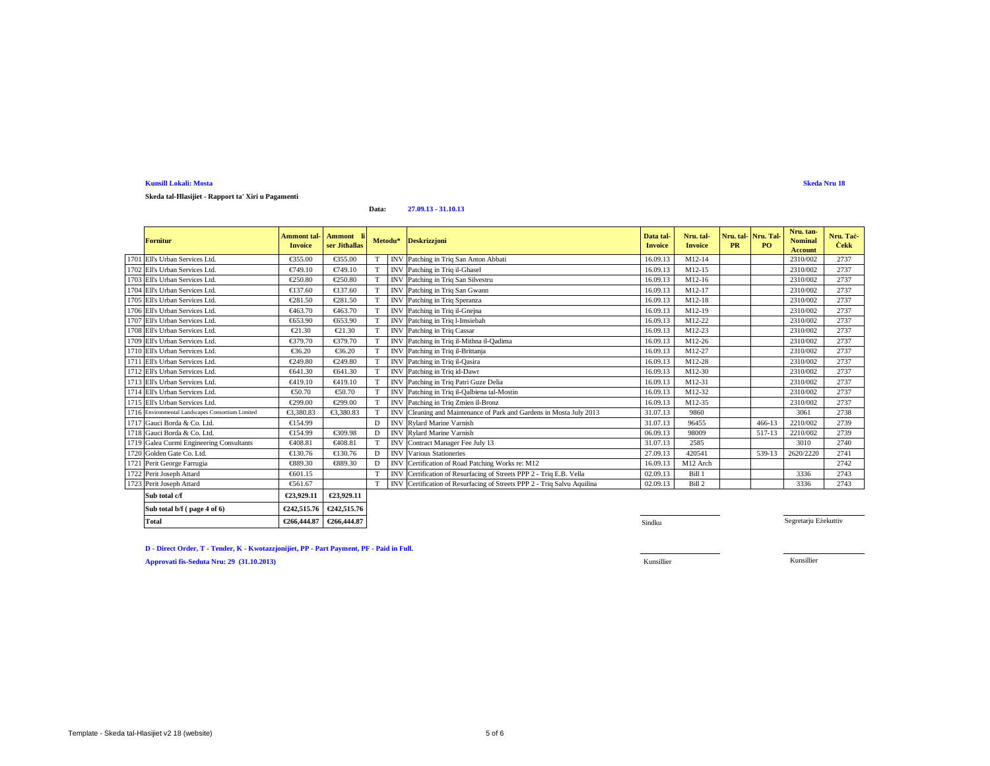### **Skeda tal-Ħlasijiet - Rapport ta' Xiri u Pagamenti**

#### **Data:27.09.13 - 31.10.13**

| <b>Fornitur</b>                                  | <b>Ammont</b> tal-<br><b>Invoice</b> | Ammont<br>ser Jithallas |                 |            | Metodu* Deskrizzjoni                                                    | Data tal-<br><b>Invoice</b> | Nru. tal-<br><b>Invoice</b> | Nru. tal-<br><b>PR</b> | Nru. Tal-<br>PO. | Nru. tan-<br><b>Nominal</b><br><b>Account</b> | Nru. Tac-<br><b>Cekk</b> |
|--------------------------------------------------|--------------------------------------|-------------------------|-----------------|------------|-------------------------------------------------------------------------|-----------------------------|-----------------------------|------------------------|------------------|-----------------------------------------------|--------------------------|
| 1701 Ell's Urban Services Ltd                    | €355.00                              | €355.00                 |                 | <b>INV</b> | Pathing in Triq San Anton Abbati                                        | 16.09.13                    | M12-14                      |                        |                  | 2310/002                                      | 2737                     |
| 1702 Ell's Urban Services Ltd.                   | €749.10                              | €749.10                 | T               | <b>INV</b> | Pathing in Triq il-Ghasel                                               | 16.09.13                    | M12-15                      |                        |                  | 2310/002                                      | 2737                     |
| 1703 Ell's Urban Services Ltd.                   | €250.80                              | €250.80                 | T               | <b>INV</b> | Pathing in Triq San Silvestru                                           | 16.09.13                    | M12-16                      |                        |                  | 2310/002                                      | 2737                     |
| 1704 Ell's Urban Services Ltd.                   | €137.60                              | €137.60                 | $\mathbf T$     | <b>INV</b> | Pathing in Triq San Gwann                                               | 16.09.13                    | M12-17                      |                        |                  | 2310/002                                      | 2737                     |
| 1705 Ell's Urban Services Ltd.                   | €281.50                              | €281.50                 | T               | IN         | Pathing in Triq Speranza                                                | 16.09.13                    | M12-18                      |                        |                  | 2310/002                                      | 2737                     |
| 1706 Ell's Urban Services Ltd.                   | €463.70                              | €463.70                 | T               | <b>INV</b> | Pathing in Triq il-Gnejna                                               | 16.09.13                    | M12-19                      |                        |                  | 2310/002                                      | 2737                     |
| 1707 Ell's Urban Services Ltd.                   | €653.90                              | €653.90                 | <b>T</b>        | <b>INV</b> | Pathing in Triq l-Imsiebah                                              | 16.09.13                    | M12-22                      |                        |                  | 2310/002                                      | 2737                     |
| 1708 Ell's Urban Services Ltd.                   | $\epsilon$ 21.30                     | €21.30                  | T               | <b>INV</b> | Patchig in Triq Cassar                                                  | 16.09.13                    | M12-23                      |                        |                  | 2310/002                                      | 2737                     |
| 1709 Ell's Urban Services Ltd.                   | €379.70                              | €379.70                 | T               | <b>INV</b> | Pathing in Triq il-Mithna il-Qadima                                     | 16.09.13                    | M12-26                      |                        |                  | 2310/002                                      | 2737                     |
| 1710 Ell's Urban Services Ltd.                   | €36.20                               | €36.20                  | T               | <b>INV</b> | Patchig in Triq il-Brittanja                                            | 16.09.13                    | M12-27                      |                        |                  | 2310/002                                      | 2737                     |
| 1711 Ell's Urban Services Ltd.                   | €249.80                              | €249.80                 |                 | <b>INV</b> | Pathing in Triq il-Qasira                                               | 16.09.13                    | M12-28                      |                        |                  | 2310/002                                      | 2737                     |
| 1712 Ell's Urban Services Ltd                    | €641.30                              | €641.30                 | T               | <b>INV</b> | Pathing in Triq id-Dawr                                                 | 16.09.13                    | M12-30                      |                        |                  | 2310/002                                      | 2737                     |
| 1713 Ell's Urban Services Ltd.                   | €419.10                              | €419.10                 | T               | <b>INV</b> | Pathing in Triq Patri Guze Delia                                        | 16.09.13                    | M12-31                      |                        |                  | 2310/002                                      | 2737                     |
| 1714 Ell's Urban Services Ltd.                   | €50.70                               | €50.70                  | T               | <b>INV</b> | Patchig in Triq il-Qalbiena tal-Mostin                                  | 16.09.13                    | M12-32                      |                        |                  | 2310/002                                      | 2737                     |
| 1715 Ell's Urban Services Ltd.                   | €299.00                              | €299.00                 | $^{\mathrm{T}}$ | <b>INV</b> | Pathing in Triq Zmien il-Bronz                                          | 16.09.13                    | M12-35                      |                        |                  | 2310/002                                      | 2737                     |
| 1716 Environmental Landscapes Consortium Limited | €3,380.83                            | €3,380.83               | T               | <b>INV</b> | Cleaning and Maintenance of Rrk and Gardens in Mosta July 2013          | 31.07.13                    | 9860                        |                        |                  | 3061                                          | 2738                     |
| 1717 Gauci Borda & Co. Ltd.                      | €154.99                              |                         | D               |            | INV Rylard MarineVarnish                                                | 31.07.13                    | 96455                       |                        | $466 - 13$       | 2210/002                                      | 2739                     |
| 1718 Gauci Borda & Co. Ltd.                      | €154.99                              | €309.98                 | D               | <b>INV</b> | RylardMarine Varnish                                                    | 06.09.13                    | 98009                       |                        | 517-13           | 2210/002                                      | 2739                     |
| 1719 Galea Curmi Engineering Consultants         | €408.81                              | €40881                  | T               | <b>INV</b> | Contract Manager Fee July 13                                            | 31.07.13                    | 2585                        |                        |                  | 3010                                          | 2740                     |
| 1720 Golden Gate Co. Ltd.                        | €130.76                              | €130.76                 | D               | <b>INV</b> | Various Sationeries                                                     | 27.09.13                    | 420541                      |                        | 539-13           | 2620/2220                                     | 2741                     |
| 1721 Perit George Farrugia                       | €889.30                              | €889.30                 | D               | <b>INV</b> | Certifiation of Road Patching Works re: M12                             | 16.09.13                    | M12 Arch                    |                        |                  |                                               | 2742                     |
| 1722 Perit Joseph Attard                         | €601.15                              |                         | T               |            | INV Certification of Resurfacing of Streets PPP 2 - Triq E.B. Vella     | 02.09.13                    | Bill 1                      |                        |                  | 3336                                          | 2743                     |
| 1723 Perit Joseph Attard                         | €561.67                              |                         | T               |            | INV Certification of Resurfacing of Streets PPP 2 - Triq Salvu Aquilina | 02.09.13                    | Bill 2                      |                        |                  | 3336                                          | 2743                     |
| Sub total c/f                                    | €23,929.11                           | €23,929.11              |                 |            |                                                                         |                             |                             |                        |                  |                                               |                          |
| Sub total b/f (page 4 of 6)                      | €242,515.76                          | €242,515.76             |                 |            |                                                                         |                             |                             |                        |                  |                                               |                          |

<sup>1</sup>/<sub>1</sub> Sindku and the set of the set of the set of the set of the set of the set of the set of the set of the set of the set of the set of the set of the set of the set of the set of the set of the set of the set of the s

Segretarju Eżekuttiv

**D - Direct Order, T - Tender, K - Kwotazzjonijiet, PP - Part Payment, PF - Paid in Full.**

**Total**  $\left[ \ \epsilon \right]$  **€266,444.87**  $\epsilon$  **€266,444.87** 

**Approvati fis-Seduta Nru: 29 (31.10.2013)**

Kunsillier

Kunsillier Kunsillier